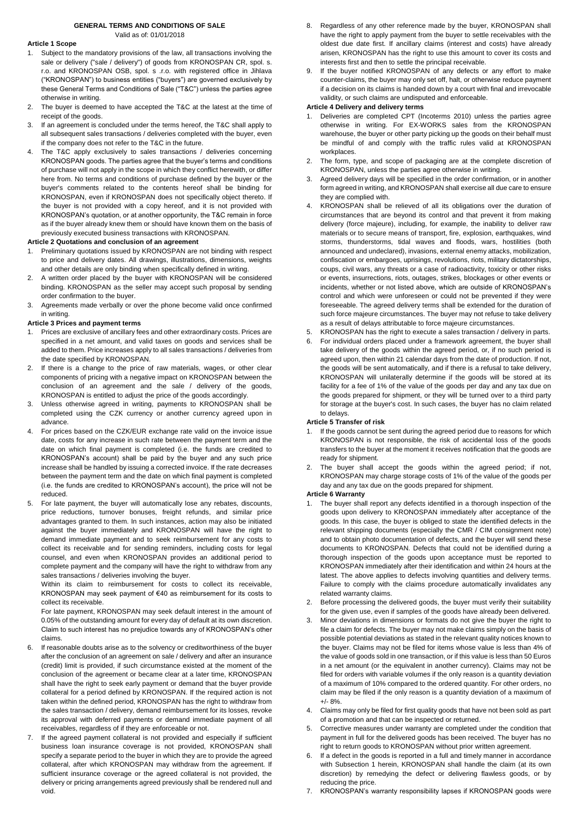### **GENERAL TERMS AND CONDITIONS OF SALE** Valid as of: 01/01/2018

#### **Article 1 Scope**

- 1. Subject to the mandatory provisions of the law, all transactions involving the sale or delivery ("sale / delivery") of goods from KRONOSPAN CR, spol. s. r.o. and KRONOSPAN OSB, spol. s .r.o. with registered office in Jihlava ("KRONOSPAN") to business entities ("buyers") are governed exclusively by these General Terms and Conditions of Sale ("T&C") unless the parties agree otherwise in writing.
- 2. The buyer is deemed to have accepted the T&C at the latest at the time of receipt of the goods.
- If an agreement is concluded under the terms hereof, the T&C shall apply to all subsequent sales transactions / deliveries completed with the buyer, even if the company does not refer to the T&C in the future.
- The T&C apply exclusively to sales transactions / deliveries concerning KRONOSPAN goods. The parties agree that the buyer's terms and conditions of purchase will not apply in the scope in which they conflict herewith, or differ here from. No terms and conditions of purchase defined by the buyer or the buyer's comments related to the contents hereof shall be binding for KRONOSPAN, even if KRONOSPAN does not specifically object thereto. If the buyer is not provided with a copy hereof, and it is not provided with KRONOSPAN's quotation, or at another opportunity, the T&C remain in force as if the buyer already knew them or should have known them on the basis of previously executed business transactions with KRONOSPAN.

# **Article 2 Quotations and conclusion of an agreement**

- 1. Preliminary quotations issued by KRONOSPAN are not binding with respect to price and delivery dates. All drawings, illustrations, dimensions, weights and other details are only binding when specifically defined in writing.
- 2. A written order placed by the buyer with KRONOSPAN will be considered binding. KRONOSPAN as the seller may accept such proposal by sending order confirmation to the buyer.
- 3. Agreements made verbally or over the phone become valid once confirmed in writing.

# **Article 3 Prices and payment terms**

- Prices are exclusive of ancillary fees and other extraordinary costs. Prices are specified in a net amount, and valid taxes on goods and services shall be added to them. Price increases apply to all sales transactions / deliveries from the date specified by KRONOSPAN.
- 2. If there is a change to the price of raw materials, wages, or other clear components of pricing with a negative impact on KRONOSPAN between the conclusion of an agreement and the sale / delivery of the goods, KRONOSPAN is entitled to adjust the price of the goods accordingly.
- 3. Unless otherwise agreed in writing, payments to KRONOSPAN shall be completed using the CZK currency or another currency agreed upon in advance.
- 4. For prices based on the CZK/EUR exchange rate valid on the invoice issue date, costs for any increase in such rate between the payment term and the date on which final payment is completed (i.e. the funds are credited to KRONOSPAN's account) shall be paid by the buyer and any such price increase shall be handled by issuing a corrected invoice. If the rate decreases between the payment term and the date on which final payment is completed (i.e. the funds are credited to KRONOSPAN's account), the price will not be reduced.
- 5. For late payment, the buyer will automatically lose any rebates, discounts, price reductions, turnover bonuses, freight refunds, and similar price advantages granted to them. In such instances, action may also be initiated against the buyer immediately and KRONOSPAN will have the right to demand immediate payment and to seek reimbursement for any costs to collect its receivable and for sending reminders, including costs for legal counsel, and even when KRONOSPAN provides an additional period to complete payment and the company will have the right to withdraw from any sales transactions / deliveries involving the buyer.

Within its claim to reimbursement for costs to collect its receivable, KRONOSPAN may seek payment of €40 as reimbursement for its costs to collect its receivable.

For late payment, KRONOSPAN may seek default interest in the amount of 0.05% of the outstanding amount for every day of default at its own discretion. Claim to such interest has no prejudice towards any of KRONOSPAN's other claims.

- If reasonable doubts arise as to the solvency or creditworthiness of the buyer after the conclusion of an agreement on sale / delivery and after an insurance (credit) limit is provided, if such circumstance existed at the moment of the conclusion of the agreement or became clear at a later time, KRONOSPAN shall have the right to seek early payment or demand that the buyer provide collateral for a period defined by KRONOSPAN. If the required action is not taken within the defined period, KRONOSPAN has the right to withdraw from the sales transaction / delivery, demand reimbursement for its losses, revoke its approval with deferred payments or demand immediate payment of all receivables, regardless of if they are enforceable or not.
- If the agreed payment collateral is not provided and especially if sufficient business loan insurance coverage is not provided, KRONOSPAN shall specify a separate period to the buyer in which they are to provide the agreed collateral, after which KRONOSPAN may withdraw from the agreement. If sufficient insurance coverage or the agreed collateral is not provided, the delivery or pricing arrangements agreed previously shall be rendered null and void.
- 8. Regardless of any other reference made by the buyer, KRONOSPAN shall have the right to apply payment from the buyer to settle receivables with the oldest due date first. If ancillary claims (interest and costs) have already arisen, KRONOSPAN has the right to use this amount to cover its costs and interests first and then to settle the principal receivable.
- If the buyer notified KRONOSPAN of any defects or any effort to make counter-claims, the buyer may only set off, halt, or otherwise reduce payment if a decision on its claims is handed down by a court with final and irrevocable validity, or such claims are undisputed and enforceable.

## **Article 4 Delivery and delivery terms**

- 1. Deliveries are completed CPT (Incoterms 2010) unless the parties agree otherwise in writing. For EX-WORKS sales from the KRONOSPAN warehouse, the buyer or other party picking up the goods on their behalf must be mindful of and comply with the traffic rules valid at KRONOSPAN workplaces.
- 2. The form, type, and scope of packaging are at the complete discretion of KRONOSPAN, unless the parties agree otherwise in writing.
- 3. Agreed delivery days will be specified in the order confirmation, or in another form agreed in writing, and KRONOSPAN shall exercise all due care to ensure they are complied with.
- 4. KRONOSPAN shall be relieved of all its obligations over the duration of circumstances that are beyond its control and that prevent it from making delivery (force majeure), including, for example, the inability to deliver raw materials or to secure means of transport, fire, explosion, earthquakes, wind storms, thunderstorms, tidal waves and floods, wars, hostilities (both announced and undeclared), invasions, external enemy attacks, mobilization, confiscation or embargoes, uprisings, revolutions, riots, military dictatorships, coups, civil wars, any threats or a case of radioactivity, toxicity or other risks or events, insurrections, riots, outages, strikes, blockages or other events or incidents, whether or not listed above, which are outside of KRONOSPAN's control and which were unforeseen or could not be prevented if they were foreseeable. The agreed delivery terms shall be extended for the duration of such force majeure circumstances. The buyer may not refuse to take delivery as a result of delays attributable to force majeure circumstances.
- 5. KRONOSPAN has the right to execute a sales transaction / delivery in parts.
- For individual orders placed under a framework agreement, the buyer shall take delivery of the goods within the agreed period, or, if no such period is agreed upon, then within 21 calendar days from the date of production. If not, the goods will be sent automatically, and if there is a refusal to take delivery, KRONOSPAN will unilaterally determine if the goods will be stored at its facility for a fee of 1% of the value of the goods per day and any tax due on the goods prepared for shipment, or they will be turned over to a third party for storage at the buyer's cost. In such cases, the buyer has no claim related to delays.

#### **Article 5 Transfer of risk**

- If the goods cannot be sent during the agreed period due to reasons for which KRONOSPAN is not responsible, the risk of accidental loss of the goods transfers to the buyer at the moment it receives notification that the goods are ready for shipment.
- The buyer shall accept the goods within the agreed period; if not, KRONOSPAN may charge storage costs of 1% of the value of the goods per day and any tax due on the goods prepared for shipment.

#### **Article 6 Warranty**

- 1. The buyer shall report any defects identified in a thorough inspection of the goods upon delivery to KRONOSPAN immediately after acceptance of the goods. In this case, the buyer is obliged to state the identified defects in the relevant shipping documents (especially the CMR / CIM consignment note) and to obtain photo documentation of defects, and the buyer will send these documents to KRONOSPAN. Defects that could not be identified during a thorough inspection of the goods upon acceptance must be reported to KRONOSPAN immediately after their identification and within 24 hours at the latest. The above applies to defects involving quantities and delivery terms. Failure to comply with the claims procedure automatically invalidates any related warranty claims.
- 2. Before processing the delivered goods, the buyer must verify their suitability for the given use, even if samples of the goods have already been delivered.
- 3. Minor deviations in dimensions or formats do not give the buyer the right to file a claim for defects. The buyer may not make claims simply on the basis of possible potential deviations as stated in the relevant quality notices known to the buyer. Claims may not be filed for items whose value is less than 4% of the value of goods sold in one transaction, or if this value is less than 50 Euros in a net amount (or the equivalent in another currency). Claims may not be filed for orders with variable volumes if the only reason is a quantity deviation of a maximum of 10% compared to the ordered quantity. For other orders, no claim may be filed if the only reason is a quantity deviation of a maximum of +/- 8%.
- 4. Claims may only be filed for first quality goods that have not been sold as part of a promotion and that can be inspected or returned.
- 5. Corrective measures under warranty are completed under the condition that payment in full for the delivered goods has been received. The buyer has no right to return goods to KRONOSPAN without prior written agreement.
- 6. If a defect in the goods is reported in a full and timely manner in accordance with Subsection 1 herein, KRONOSPAN shall handle the claim (at its own discretion) by remedying the defect or delivering flawless goods, or by reducing the price.
- KRONOSPAN's warranty responsibility lapses if KRONOSPAN goods were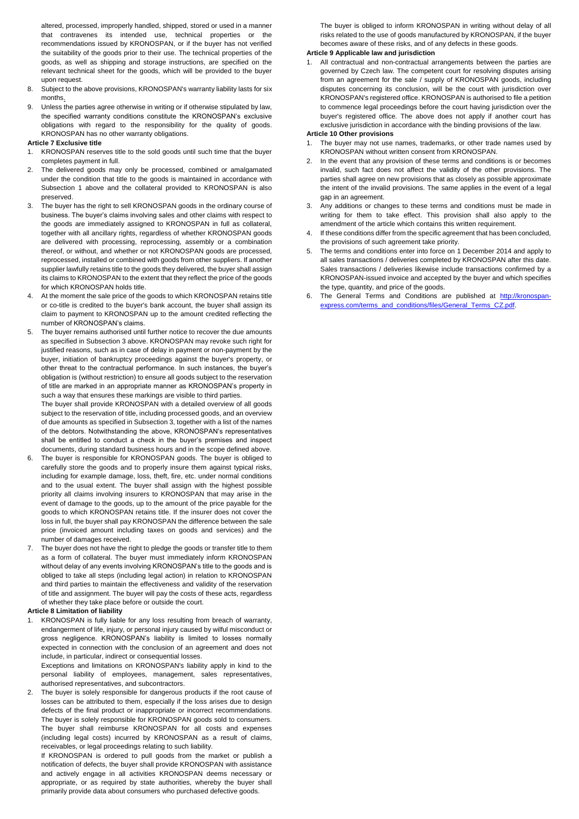altered, processed, improperly handled, shipped, stored or used in a manner that contravenes its intended use, technical properties or the recommendations issued by KRONOSPAN, or if the buyer has not verified the suitability of the goods prior to their use. The technical properties of the goods, as well as shipping and storage instructions, are specified on the relevant technical sheet for the goods, which will be provided to the buyer upon request.

- 8. Subject to the above provisions, KRONOSPAN's warranty liability lasts for six months.
- 9. Unless the parties agree otherwise in writing or if otherwise stipulated by law, the specified warranty conditions constitute the KRONOSPAN's exclusive obligations with regard to the responsibility for the quality of goods. KRONOSPAN has no other warranty obligations.

#### **Article 7 Exclusive title**

- KRONOSPAN reserves title to the sold goods until such time that the buyer completes payment in full.
- 2. The delivered goods may only be processed, combined or amalgamated under the condition that title to the goods is maintained in accordance with Subsection 1 above and the collateral provided to KRONOSPAN is also preserved.
- 3. The buyer has the right to sell KRONOSPAN goods in the ordinary course of business. The buyer's claims involving sales and other claims with respect to the goods are immediately assigned to KRONOSPAN in full as collateral, together with all ancillary rights, regardless of whether KRONOSPAN goods are delivered with processing, reprocessing, assembly or a combination thereof, or without, and whether or not KRONOSPAN goods are processed, reprocessed, installed or combined with goods from other suppliers. If another supplier lawfully retains title to the goods they delivered, the buyer shall assign its claims to KRONOSPAN to the extent that they reflect the price of the goods for which KRONOSPAN holds title.
- 4. At the moment the sale price of the goods to which KRONOSPAN retains title or co-title is credited to the buyer's bank account, the buyer shall assign its claim to payment to KRONOSPAN up to the amount credited reflecting the number of KRONOSPAN's claims.
- The buyer remains authorised until further notice to recover the due amounts as specified in Subsection 3 above. KRONOSPAN may revoke such right for justified reasons, such as in case of delay in payment or non-payment by the buyer, initiation of bankruptcy proceedings against the buyer's property, or other threat to the contractual performance. In such instances, the buyer's obligation is (without restriction) to ensure all goods subject to the reservation of title are marked in an appropriate manner as KRONOSPAN's property in such a way that ensures these markings are visible to third parties.

The buyer shall provide KRONOSPAN with a detailed overview of all goods subject to the reservation of title, including processed goods, and an overview of due amounts as specified in Subsection 3, together with a list of the names of the debtors. Notwithstanding the above, KRONOSPAN's representatives shall be entitled to conduct a check in the buyer's premises and inspect documents, during standard business hours and in the scope defined above.

- The buyer is responsible for KRONOSPAN goods. The buyer is obliged to carefully store the goods and to properly insure them against typical risks, including for example damage, loss, theft, fire, etc. under normal conditions and to the usual extent. The buyer shall assign with the highest possible priority all claims involving insurers to KRONOSPAN that may arise in the event of damage to the goods, up to the amount of the price payable for the goods to which KRONOSPAN retains title. If the insurer does not cover the loss in full, the buyer shall pay KRONOSPAN the difference between the sale price (invoiced amount including taxes on goods and services) and the number of damages received.
- 7. The buyer does not have the right to pledge the goods or transfer title to them as a form of collateral. The buyer must immediately inform KRONOSPAN without delay of any events involving KRONOSPAN's title to the goods and is obliged to take all steps (including legal action) in relation to KRONOSPAN and third parties to maintain the effectiveness and validity of the reservation of title and assignment. The buyer will pay the costs of these acts, regardless of whether they take place before or outside the court.

#### **Article 8 Limitation of liability**

- 1. KRONOSPAN is fully liable for any loss resulting from breach of warranty, endangerment of life, injury, or personal injury caused by wilful misconduct or gross negligence. KRONOSPAN's liability is limited to losses normally expected in connection with the conclusion of an agreement and does not include, in particular, indirect or consequential losses. Exceptions and limitations on KRONOSPAN's liability apply in kind to the personal liability of employees, management, sales representatives, authorised representatives, and subcontractors.
- The buyer is solely responsible for dangerous products if the root cause of losses can be attributed to them, especially if the loss arises due to design defects of the final product or inappropriate or incorrect recommendations. The buyer is solely responsible for KRONOSPAN goods sold to consumers. The buyer shall reimburse KRONOSPAN for all costs and expenses (including legal costs) incurred by KRONOSPAN as a result of claims, receivables, or legal proceedings relating to such liability.

If KRONOSPAN is ordered to pull goods from the market or publish a notification of defects, the buyer shall provide KRONOSPAN with assistance and actively engage in all activities KRONOSPAN deems necessary or appropriate, or as required by state authorities, whereby the buyer shall primarily provide data about consumers who purchased defective goods.

The buyer is obliged to inform KRONOSPAN in writing without delay of all risks related to the use of goods manufactured by KRONOSPAN, if the buyer becomes aware of these risks, and of any defects in these goods.

#### **Article 9 Applicable law and jurisdiction**

1. All contractual and non-contractual arrangements between the parties are governed by Czech law. The competent court for resolving disputes arising from an agreement for the sale / supply of KRONOSPAN goods, including disputes concerning its conclusion, will be the court with jurisdiction over KRONOSPAN's registered office. KRONOSPAN is authorised to file a petition to commence legal proceedings before the court having jurisdiction over the buyer's registered office. The above does not apply if another court has exclusive jurisdiction in accordance with the binding provisions of the law.

#### **Article 10 Other provisions**

- The buyer may not use names, trademarks, or other trade names used by KRONOSPAN without written consent from KRONOSPAN.
- In the event that any provision of these terms and conditions is or becomes invalid, such fact does not affect the validity of the other provisions. The parties shall agree on new provisions that as closely as possible approximate the intent of the invalid provisions. The same applies in the event of a legal gap in an agreement.
- 3. Any additions or changes to these terms and conditions must be made in writing for them to take effect. This provision shall also apply to the amendment of the article which contains this written requirement.
- If these conditions differ from the specific agreement that has been concluded. the provisions of such agreement take priority.
- The terms and conditions enter into force on 1 December 2014 and apply to all sales transactions / deliveries completed by KRONOSPAN after this date. Sales transactions / deliveries likewise include transactions confirmed by a KRONOSPAN-issued invoice and accepted by the buyer and which specifies the type, quantity, and price of the goods.
- 6. The General Terms and Conditions are published at [http://kronospan](http://kronospan-express.com/terms_and_conditions/files/General_Terms_CZ.pdf)[express.com/terms\\_and\\_conditions/files/General\\_Terms\\_CZ.pdf.](http://kronospan-express.com/terms_and_conditions/files/General_Terms_CZ.pdf)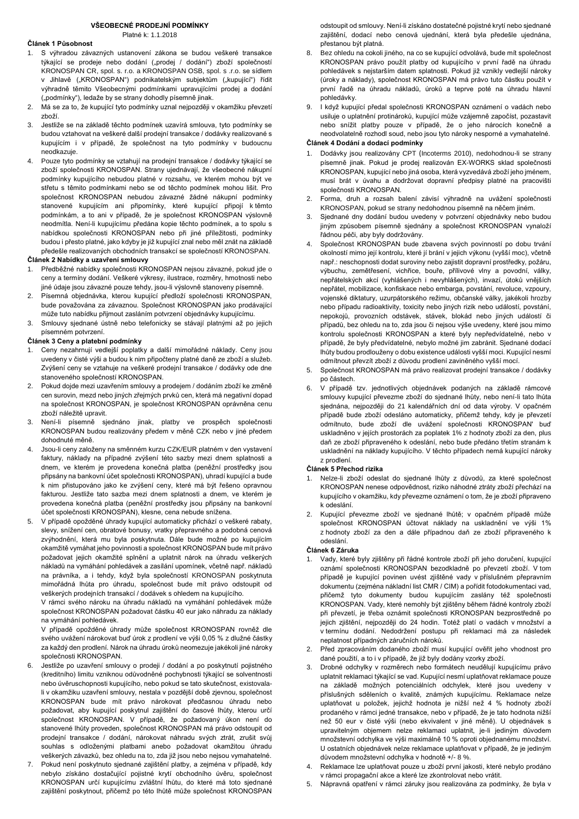#### **Článek 1 Působnost**

- 1. S výhradou závazných ustanovení zákona se budou veškeré transakce týkající se prodeje nebo dodání ("prodej / dodání") zboží společností KRONOSPAN CR, spol. s. r.o. a KRONOSPAN OSB, spol. s .r.o. se sídlem v Jihlavě ("KRONOSPAN") podnikatelským subjektům ("kupující") řídit výhradně těmito Všeobecnými podmínkami upravujícími prodej a dodání ("podmínky"), ledaže by se strany dohodly písemně jinak.
- 2. Má se za to, že kupující tyto podmínky uznal nejpozději v okamžiku převzetí zboží.
- 3. Jestliže se na základě těchto podmínek uzavírá smlouva, tyto podmínky se budou vztahovat na veškeré další prodejní transakce / dodávky realizované s kupujícím i v případě, že společnost na tyto podmínky v budoucnu neodkazuje.
- Pouze tyto podmínky se vztahují na prodejní transakce / dodávky týkající se zboží společnosti KRONOSPAN. Strany ujednávají, že všeobecné nákupní podmínky kupujícího nebudou platné v rozsahu, ve kterém mohou být ve střetu s těmito podmínkami nebo se od těchto podmínek mohou lišit. Pro společnost KRONOSPAN nebudou závazné žádné nákupní podmínky stanovené kupujícím ani připomínky, které kupující připojí k těmto podmínkám, a to ani v případě, že je společnost KRONOSPAN výslovně neodmítla. Není-li kupujícímu předána kopie těchto podmínek, a to spolu s nabídkou společnosti KRONOSPAN nebo při jiné příležitosti, podmínky budou i přesto platné, jako kdyby je již kupující znal nebo měl znát na základě předešle realizovaných obchodních transakcí se společností KRONOSPAN.

# **Článek 2 Nabídky a uzavření smlouvy**

- 1. Předběžné nabídky společnosti KRONOSPAN nejsou závazné, pokud jde o ceny a termíny dodání. Veškeré výkresy, ilustrace, rozměry, hmotnosti nebo jiné údaje jsou závazné pouze tehdy, jsou-li výslovně stanoveny písemně.
- 2. Písemná objednávka, kterou kupující předloží společnosti KRONOSPAN, bude považována za závaznou. Společnost KRONOSPAN jako prodávající může tuto nabídku přijmout zasláním potvrzení objednávky kupujícímu.
- 3. Smlouvy sjednané ústně nebo telefonicky se stávají platnými až po jejich písemném potvrzení.

# **Článek 3 Ceny a platební podmínky**

- 1. Ceny nezahrnují vedlejší poplatky a další mimořádné náklady. Ceny jsou uvedeny v čisté výši a budou k nim připočteny platné daně ze zboží a služeb. Zvýšení ceny se vztahuje na veškeré prodejní transakce / dodávky ode dne stanoveného společností KRONOSPAN.
- 2. Pokud dojde mezi uzavřením smlouvy a prodejem / dodáním zboží ke změně cen surovin, mezd nebo jiných zřejmých prvků cen, která má negativní dopad na společnost KRONOSPAN, je společnost KRONOSPAN oprávněna cenu zboží náležitě upravit.
- 3. Není-li písemně sjednáno jinak, platby ve prospěch společnosti KRONOSPAN budou realizovány předem v měně CZK nebo v jiné předem dohodnuté měně.
- 4. Jsou-li ceny založeny na směnném kurzu CZK/EUR platném v den vystavení faktury, náklady na případné zvýšení této sazby mezi dnem splatnosti a dnem, ve kterém je provedena konečná platba (peněžní prostředky jsou připsány na bankovní účet společnosti KRONOSPAN), uhradí kupující a bude k nim přistupováno jako ke zvýšení ceny, které má být řešeno opravnou fakturou. Jestliže tato sazba mezi dnem splatnosti a dnem, ve kterém je provedena konečná platba (peněžní prostředky jsou připsány na bankovní účet společnosti KRONOSPAN), klesne, cena nebude snížena.
- 5. V případě opožděné úhrady kupující automaticky přichází o veškeré rabaty, slevy, snížení cen, obratové bonusy, vratky přepravného a podobná cenová zvýhodnění, která mu byla poskytnuta. Dále bude možné po kupujícím okamžitě vymáhat jeho povinnosti a společnost KRONOSPAN bude mít právo požadovat jejich okamžité splnění a uplatnit nárok na úhradu veškerých nákladů na vymáhání pohledávek a zasílání upomínek, včetně např. nákladů na právníka, a i tehdy, když byla společností KRONOSPAN poskytnuta mimořádná lhůta pro úhradu, společnost bude mít právo odstoupit od veškerých prodejních transakcí / dodávek s ohledem na kupujícího.

V rámci svého nároku na úhradu nákladů na vymáhání pohledávek může společnost KRONOSPAN požadovat částku 40 eur jako náhradu za náklady na vymáhání pohledávek.

V případě opožděné úhrady může společnost KRONOSPAN rovněž dle svého uvážení nárokovat buď úrok z prodlení ve výši 0,05 % z dlužné částky za každý den prodlení. Nárok na úhradu úroků neomezuje jakékoli jiné nároky společnosti KRONOSPAN.

- Jestliže po uzavření smlouvy o prodeji / dodání a po poskytnutí pojistného (kreditního) limitu vzniknou odůvodněné pochybnosti týkající se solventnosti nebo úvěruschopnosti kupujícího, nebo pokud se tato skutečnost, existovalali v okamžiku uzavření smlouvy, nestala v pozdější době zjevnou, společnost KRONOSPAN bude mít právo nárokovat předčasnou úhradu nebo požadovat, aby kupující poskytnul zajištění do časové lhůty, kterou určí společnost KRONOSPAN. V případě, že požadovaný úkon není do stanovené lhůty proveden, společnost KRONOSPAN má právo odstoupit od prodejní transakce / dodání, nárokovat náhradu svých ztrát, zrušit svůj souhlas s odloženými platbami anebo požadovat okamžitou úhradu veškerých závazků, bez ohledu na to, zda již jsou nebo nejsou vymahatelné.
- 7. Pokud není poskytnuto sjednané zajištění platby, a zejména v případě, kdy nebylo získáno dostačující pojistné krytí obchodního úvěru, společnost KRONOSPAN určí kupujícímu zvláštní lhůtu, do které má toto sjednané zajištění poskytnout, přičemž po této lhůtě může společnost KRONOSPAN

odstoupit od smlouvy. Není-li získáno dostatečné pojistné krytí nebo sjednané zajištění, dodací nebo cenová ujednání, která byla předešle ujednána, přestanou být platná.

- 8. Bez ohledu na cokoli jiného, na co se kupující odvolává, bude mít společnost KRONOSPAN právo použít platby od kupujícího v první řadě na úhradu pohledávek s nejstarším datem splatnosti. Pokud již vznikly vedlejší nároky (úroky a náklady), společnost KRONOSPAN má právo tuto částku použít v první řadě na úhradu nákladů, úroků a teprve poté na úhradu hlavní pohledávky.
- 9. I když kupující předal společnosti KRONOSPAN oznámení o vadách nebo usiluje o uplatnění protinároků, kupující může vzájemně započíst, pozastavit nebo snížit platby pouze v případě, že o jeho nárocích konečně a neodvolatelně rozhodl soud, nebo jsou tyto nároky nesporné a vymahatelné. **Článek 4 Dodání a dodací podmínky**

- 1. Dodávky jsou realizovány CPT (Incoterms 2010), nedohodnou-li se strany písemně jinak. Pokud je prodej realizován EX-WORKS sklad společnosti KRONOSPAN, kupující nebo jiná osoba, která vyzvedává zboží jeho jménem, musí brát v úvahu a dodržovat dopravní předpisy platné na pracovišti společnosti KRONOSPAN.
- 2. Forma, druh a rozsah balení závisí výhradně na uvážení společnosti KRONOSPAN, pokud se strany nedohodnou písemně na něčem jiném.
- Sjednané dny dodání budou uvedeny v potvrzení objednávky nebo budou jiným způsobem písemně sjednány a společnost KRONOSPAN vynaloží řádnou péči, aby byly dodržovány.
- 4. Společnost KRONOSPAN bude zbavena svých povinností po dobu trvání okolností mimo její kontrolu, které jí brání v jejich výkonu (vyšší moc), včetně např.: neschopnosti dodat suroviny nebo zajistit dopravní prostředky, požáru, výbuchu, zemětřesení, vichřice, bouře, přílivové vlny a povodní, války, nepřátelských akcí (vyhlášených i nevyhlášených), invazí, útoků vnějších nepřátel, mobilizace, konfiskace nebo embarga, povstání, revoluce, vzpoury, vojenské diktatury, uzurpátorského režimu, občanské války, jakékoli hrozby nebo případu radioaktivity, toxicity nebo jiných rizik nebo událostí, povstání, nepokojů, provozních odstávek, stávek, blokád nebo jiných událostí či případů, bez ohledu na to, zda jsou či nejsou výše uvedeny, které jsou mimo kontrolu společnosti KRONOSPAN a které byly nepředvídatelné, nebo v případě, že byly předvídatelné, nebylo možné jim zabránit. Sjednané dodací lhůty budou prodlouženy o dobu existence události vyšší moci. Kupující nesmí odmítnout převzít zboží z důvodu prodlení zaviněného vyšší mocí.
- 5. Společnost KRONOSPAN má právo realizovat prodejní transakce / dodávky po částech.
- 6. V případě tzv. jednotlivých objednávek podaných na základě rámcové smlouvy kupující převezme zboží do sjednané lhůty, nebo není-li tato lhůta sjednána, nejpozději do 21 kalendářních dní od data výroby. V opačném případě bude zboží odesláno automaticky, přičemž tehdy, kdy je převzetí odmítnuto, bude zboží dle uvážení společnosti KRONOSPAN' buď uskladněno v jejích prostorách za poplatek 1% z hodnoty zboží za den, plus daň ze zboží připraveného k odeslání, nebo bude předáno třetím stranám k uskladnění na náklady kupujícího. V těchto případech nemá kupující nároky z prodlení.

# **Článek 5 Přechod rizika**

- 1. Nelze-li zboží odeslat do sjednané lhůty z důvodů, za které společnost KRONOSPAN nenese odpovědnost, riziko náhodné ztráty zboží přechází na kupujícího v okamžiku, kdy převezme oznámení o tom, že je zboží připraveno k odeslání.
- 2. Kupující převezme zboží ve sjednané lhůtě; v opačném případě může společnost KRONOSPAN účtovat náklady na uskladnění ve výši 1% z hodnoty zboží za den a dále případnou daň ze zboží připraveného k odeslání.

# **Článek 6 Záruka**

- 1. Vady, které byly zjištěny při řádné kontrole zboží při jeho doručení, kupující oznámí společnosti KRONOSPAN bezodkladně po převzetí zboží. V tom případě je kupující povinen uvést zjištěné vady v příslušném přepravním dokumentu (zejména nákladní list CMR / CIM) a pořídit fotodokumentaci vad, přičemž tyto dokumenty budou kupujícím zaslány též společnosti KRONOSPAN. Vady, které nemohly být zjištěny během řádné kontroly zboží při převzetí, je třeba oznámit společnosti KRONOSPAN bezprostředně po jejich zjištění, nejpozději do 24 hodin. Totéž platí o vadách v množství a v termínu dodání. Nedodržení postupu při reklamaci má za následek neplatnost případných záručních nároků.
- Před zpracováním dodaného zboží musí kupující ověřit jeho vhodnost pro dané použití, a to i v případě, že již byly dodány vzorky zboží.
- 3. Drobné odchylky v rozměrech nebo formátech neudělují kupujícímu právo uplatnit reklamaci týkající se vad. Kupující nesmí uplatňovat reklamace pouze na základě možných potenciálních odchylek, které jsou uvedeny v příslušných sděleních o kvalitě, známých kupujícímu. Reklamace nelze uplatňovat u položek, jejichž hodnota je nižší než 4 % hodnoty zboží prodaného v rámci jedné transakce, nebo v případě, že je tato hodnota nižší než 50 eur v čisté výši (nebo ekvivalent v jiné měně). U objednávek s upravitelným objemem nelze reklamaci uplatnit, je-li jediným důvodem množstevní odchylka ve výši maximálně 10 % oproti objednanému množství. U ostatních objednávek nelze reklamace uplatňovat v případě, že je jediným důvodem množstevní odchylka v hodnotě +/- 8 %.
- 4. Reklamace lze uplatňovat pouze u zboží první jakosti, které nebylo prodáno v rámci propagační akce a které lze zkontrolovat nebo vrátit.
- 5. Nápravná opatření v rámci záruky jsou realizována za podmínky, že byla v